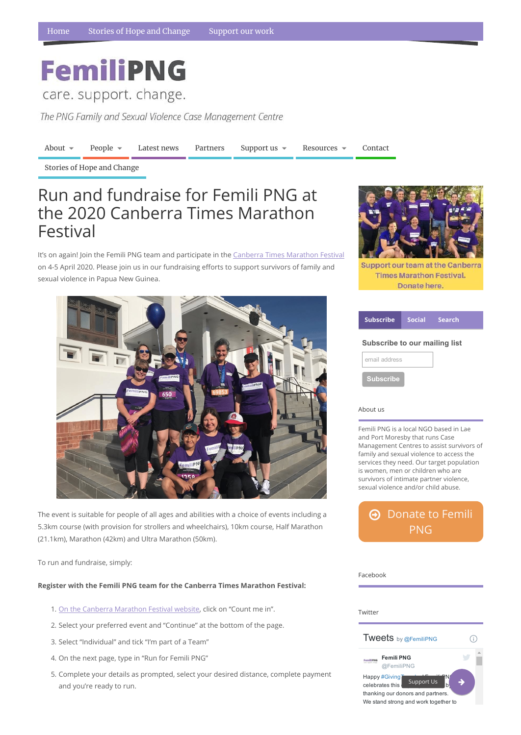# **FemiliPNG**

care. support. change.

The PNG Family and Sexual Violence Case Management Centre

[About](https://www.femilipng.org/introducing-the-png-family-and-sexual-violence-case-management-centre/)  $\bullet$  [People](https://www.femilipng.org/people/)  $\bullet$  [Latest](https://www.femilipng.org/category/news/) news [Partners](https://www.femilipng.org/partners-and-supporters/) [Support](https://www.femilipng.org/donate/) us  $\bullet$  [Resources](https://www.femilipng.org/resources-on-fsv-in-png/)  $\bullet$  [Contact](https://www.femilipng.org/contact/)

#### About us

Femili PNG is a local NGO based in Lae and Port Moresby that runs Case Management Centres to assist survivors of family and sexual violence to access the services they need. Our target population is women, men or children who are survivors of intimate partner violence, sexual violence and/or child abuse.

 $\Theta$  [Donate](https://www.femilipng.org/donate/) to Femili PNG

Twitter Tweets by @FemiliPNG  $\bigcirc$ Femili PNG FemiliPNG @FemiliPNG Happy #Giving Support Us celebrates this thanking our donors and partners. We stand strong and work together to

#### Facebook

It's on again! Join the Femili PNG team and participate in the Canberra Times [Marathon](https://events.solemotive.com/canberra-times-marathon-festival/) Festival on 4-5 April 2020. Please join us in our fundraising efforts to support survivors of family and sexual violence in Papua New Guinea.



Stories of Hope and [Change](https://www.femilipng.org/category/stories-of-hope-and-change/)

| <b>Subscribe</b>                     | <b>Social</b> | <b>Search</b> |
|--------------------------------------|---------------|---------------|
| <b>Subscribe to our mailing list</b> |               |               |
| email address                        |               |               |
| <b>Subscribe</b>                     |               |               |

The event is suitable for people of all ages and abilities with a choice of events including a 5.3km course (with provision for strollers and wheelchairs), 10km course, Half Marathon (21.1km), Marathon (42km) and Ultra Marathon (50km).



**Support our team at the Canberra Times Marathon Festival.** Donate here.

Register with the Femili PNG team for the Canberra Times Marathon Festival:

1. On the Canberra [Marathon](https://events.solemotive.com/canberra-times-marathon-festival/) Festival website, click on "Count me in".

2. Select your preferred event and "Continue" at the bottom of the page.

3. Select "Individual" and tick "I'm part of a Team"

4. On the next page, type in "Run for Femili PNG"

5. Complete your details as prompted, select your desired distance, complete payment and you're ready to run.

## Run and fundraise for Femili PNG at the 2020 Canberra Times Marathon Festival